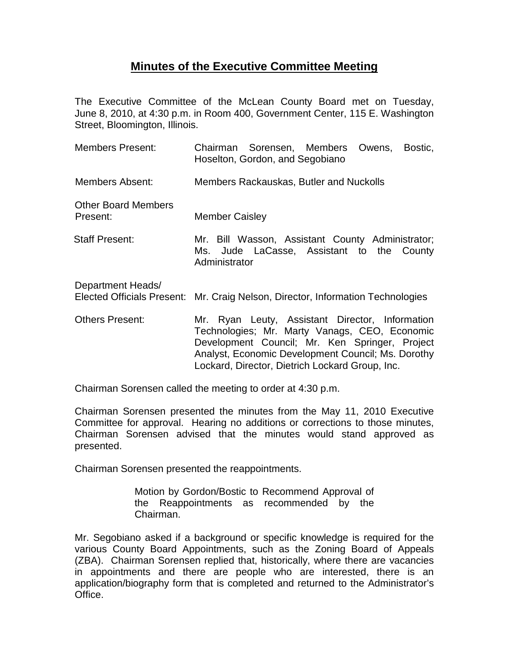## **Minutes of the Executive Committee Meeting**

The Executive Committee of the McLean County Board met on Tuesday, June 8, 2010, at 4:30 p.m. in Room 400, Government Center, 115 E. Washington Street, Bloomington, Illinois.

| Members Present:                       | Chairman Sorensen, Members Owens,<br>Bostic,<br>Hoselton, Gordon, and Segobiano                                                                                                                                                                             |
|----------------------------------------|-------------------------------------------------------------------------------------------------------------------------------------------------------------------------------------------------------------------------------------------------------------|
| Members Absent:                        | Members Rackauskas, Butler and Nuckolls                                                                                                                                                                                                                     |
| <b>Other Board Members</b><br>Present: | <b>Member Caisley</b>                                                                                                                                                                                                                                       |
| Staff Present:                         | Mr. Bill Wasson, Assistant County Administrator;<br>Ms. Jude LaCasse, Assistant to the County<br>Administrator                                                                                                                                              |
| Department Heads/                      | Elected Officials Present: Mr. Craig Nelson, Director, Information Technologies                                                                                                                                                                             |
| <b>Others Present:</b>                 | Mr. Ryan Leuty, Assistant Director, Information<br>Technologies; Mr. Marty Vanags, CEO, Economic<br>Development Council; Mr. Ken Springer, Project<br>Analyst, Economic Development Council; Ms. Dorothy<br>Lockard, Director, Dietrich Lockard Group, Inc. |

Chairman Sorensen called the meeting to order at 4:30 p.m.

Chairman Sorensen presented the minutes from the May 11, 2010 Executive Committee for approval. Hearing no additions or corrections to those minutes, Chairman Sorensen advised that the minutes would stand approved as presented.

Chairman Sorensen presented the reappointments.

Motion by Gordon/Bostic to Recommend Approval of the Reappointments as recommended by the Chairman.

Mr. Segobiano asked if a background or specific knowledge is required for the various County Board Appointments, such as the Zoning Board of Appeals (ZBA). Chairman Sorensen replied that, historically, where there are vacancies in appointments and there are people who are interested, there is an application/biography form that is completed and returned to the Administrator's Office.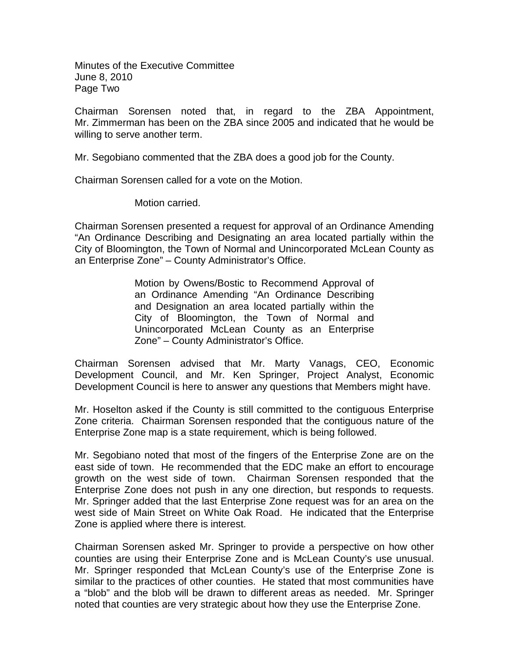Minutes of the Executive Committee June 8, 2010 Page Two

Chairman Sorensen noted that, in regard to the ZBA Appointment, Mr. Zimmerman has been on the ZBA since 2005 and indicated that he would be willing to serve another term.

Mr. Segobiano commented that the ZBA does a good job for the County.

Chairman Sorensen called for a vote on the Motion.

Motion carried.

Chairman Sorensen presented a request for approval of an Ordinance Amending "An Ordinance Describing and Designating an area located partially within the City of Bloomington, the Town of Normal and Unincorporated McLean County as an Enterprise Zone" – County Administrator's Office.

> Motion by Owens/Bostic to Recommend Approval of an Ordinance Amending "An Ordinance Describing and Designation an area located partially within the City of Bloomington, the Town of Normal and Unincorporated McLean County as an Enterprise Zone" – County Administrator's Office.

Chairman Sorensen advised that Mr. Marty Vanags, CEO, Economic Development Council, and Mr. Ken Springer, Project Analyst, Economic Development Council is here to answer any questions that Members might have.

Mr. Hoselton asked if the County is still committed to the contiguous Enterprise Zone criteria. Chairman Sorensen responded that the contiguous nature of the Enterprise Zone map is a state requirement, which is being followed.

Mr. Segobiano noted that most of the fingers of the Enterprise Zone are on the east side of town. He recommended that the EDC make an effort to encourage growth on the west side of town. Chairman Sorensen responded that the Enterprise Zone does not push in any one direction, but responds to requests. Mr. Springer added that the last Enterprise Zone request was for an area on the west side of Main Street on White Oak Road. He indicated that the Enterprise Zone is applied where there is interest.

Chairman Sorensen asked Mr. Springer to provide a perspective on how other counties are using their Enterprise Zone and is McLean County's use unusual. Mr. Springer responded that McLean County's use of the Enterprise Zone is similar to the practices of other counties. He stated that most communities have a "blob" and the blob will be drawn to different areas as needed. Mr. Springer noted that counties are very strategic about how they use the Enterprise Zone.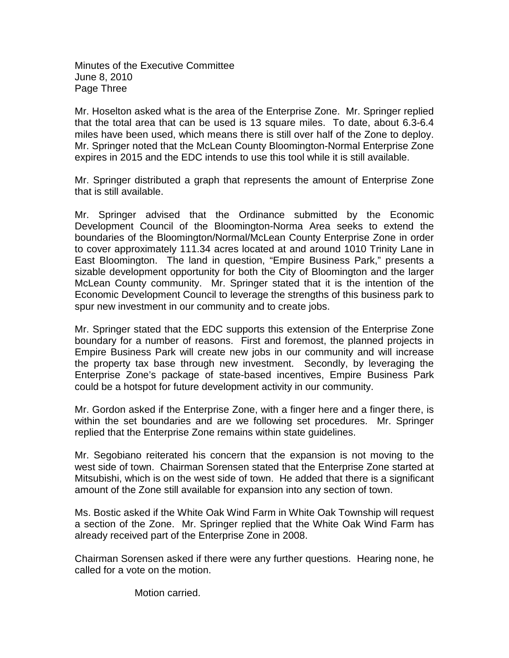Minutes of the Executive Committee June 8, 2010 Page Three

Mr. Hoselton asked what is the area of the Enterprise Zone. Mr. Springer replied that the total area that can be used is 13 square miles. To date, about 6.3-6.4 miles have been used, which means there is still over half of the Zone to deploy. Mr. Springer noted that the McLean County Bloomington-Normal Enterprise Zone expires in 2015 and the EDC intends to use this tool while it is still available.

Mr. Springer distributed a graph that represents the amount of Enterprise Zone that is still available.

Mr. Springer advised that the Ordinance submitted by the Economic Development Council of the Bloomington-Norma Area seeks to extend the boundaries of the Bloomington/Normal/McLean County Enterprise Zone in order to cover approximately 111.34 acres located at and around 1010 Trinity Lane in East Bloomington. The land in question, "Empire Business Park," presents a sizable development opportunity for both the City of Bloomington and the larger McLean County community. Mr. Springer stated that it is the intention of the Economic Development Council to leverage the strengths of this business park to spur new investment in our community and to create jobs.

Mr. Springer stated that the EDC supports this extension of the Enterprise Zone boundary for a number of reasons. First and foremost, the planned projects in Empire Business Park will create new jobs in our community and will increase the property tax base through new investment. Secondly, by leveraging the Enterprise Zone's package of state-based incentives, Empire Business Park could be a hotspot for future development activity in our community.

Mr. Gordon asked if the Enterprise Zone, with a finger here and a finger there, is within the set boundaries and are we following set procedures. Mr. Springer replied that the Enterprise Zone remains within state guidelines.

Mr. Segobiano reiterated his concern that the expansion is not moving to the west side of town. Chairman Sorensen stated that the Enterprise Zone started at Mitsubishi, which is on the west side of town. He added that there is a significant amount of the Zone still available for expansion into any section of town.

Ms. Bostic asked if the White Oak Wind Farm in White Oak Township will request a section of the Zone. Mr. Springer replied that the White Oak Wind Farm has already received part of the Enterprise Zone in 2008.

Chairman Sorensen asked if there were any further questions. Hearing none, he called for a vote on the motion.

Motion carried.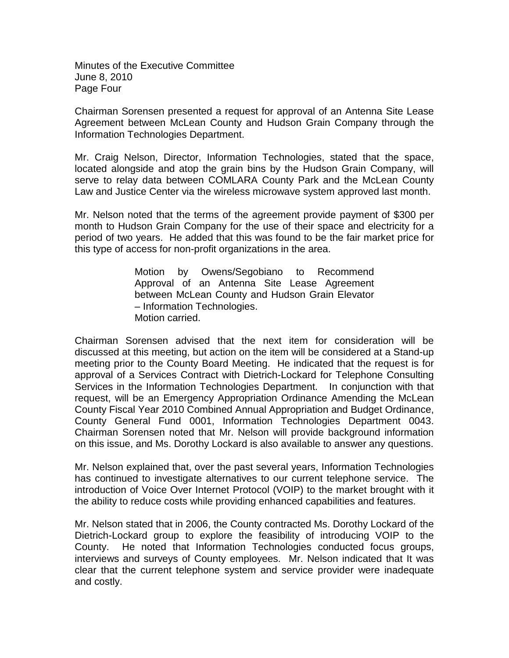Minutes of the Executive Committee June 8, 2010 Page Four

Chairman Sorensen presented a request for approval of an Antenna Site Lease Agreement between McLean County and Hudson Grain Company through the Information Technologies Department.

Mr. Craig Nelson, Director, Information Technologies, stated that the space, located alongside and atop the grain bins by the Hudson Grain Company, will serve to relay data between COMLARA County Park and the McLean County Law and Justice Center via the wireless microwave system approved last month.

Mr. Nelson noted that the terms of the agreement provide payment of \$300 per month to Hudson Grain Company for the use of their space and electricity for a period of two years. He added that this was found to be the fair market price for this type of access for non-profit organizations in the area.

> Motion by Owens/Segobiano to Recommend Approval of an Antenna Site Lease Agreement between McLean County and Hudson Grain Elevator – Information Technologies. Motion carried.

Chairman Sorensen advised that the next item for consideration will be discussed at this meeting, but action on the item will be considered at a Stand-up meeting prior to the County Board Meeting. He indicated that the request is for approval of a Services Contract with Dietrich-Lockard for Telephone Consulting Services in the Information Technologies Department. In conjunction with that request, will be an Emergency Appropriation Ordinance Amending the McLean County Fiscal Year 2010 Combined Annual Appropriation and Budget Ordinance, County General Fund 0001, Information Technologies Department 0043. Chairman Sorensen noted that Mr. Nelson will provide background information on this issue, and Ms. Dorothy Lockard is also available to answer any questions.

Mr. Nelson explained that, over the past several years, Information Technologies has continued to investigate alternatives to our current telephone service. The introduction of Voice Over Internet Protocol (VOIP) to the market brought with it the ability to reduce costs while providing enhanced capabilities and features.

Mr. Nelson stated that in 2006, the County contracted Ms. Dorothy Lockard of the Dietrich-Lockard group to explore the feasibility of introducing VOIP to the County. He noted that Information Technologies conducted focus groups, interviews and surveys of County employees. Mr. Nelson indicated that It was clear that the current telephone system and service provider were inadequate and costly.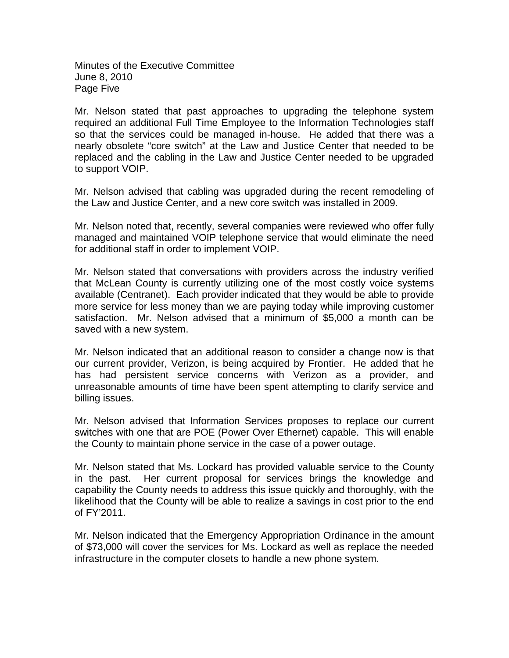Minutes of the Executive Committee June 8, 2010 Page Five

Mr. Nelson stated that past approaches to upgrading the telephone system required an additional Full Time Employee to the Information Technologies staff so that the services could be managed in-house. He added that there was a nearly obsolete "core switch" at the Law and Justice Center that needed to be replaced and the cabling in the Law and Justice Center needed to be upgraded to support VOIP.

Mr. Nelson advised that cabling was upgraded during the recent remodeling of the Law and Justice Center, and a new core switch was installed in 2009.

Mr. Nelson noted that, recently, several companies were reviewed who offer fully managed and maintained VOIP telephone service that would eliminate the need for additional staff in order to implement VOIP.

Mr. Nelson stated that conversations with providers across the industry verified that McLean County is currently utilizing one of the most costly voice systems available (Centranet). Each provider indicated that they would be able to provide more service for less money than we are paying today while improving customer satisfaction. Mr. Nelson advised that a minimum of \$5,000 a month can be saved with a new system.

Mr. Nelson indicated that an additional reason to consider a change now is that our current provider, Verizon, is being acquired by Frontier. He added that he has had persistent service concerns with Verizon as a provider, and unreasonable amounts of time have been spent attempting to clarify service and billing issues.

Mr. Nelson advised that Information Services proposes to replace our current switches with one that are POE (Power Over Ethernet) capable. This will enable the County to maintain phone service in the case of a power outage.

Mr. Nelson stated that Ms. Lockard has provided valuable service to the County in the past. Her current proposal for services brings the knowledge and capability the County needs to address this issue quickly and thoroughly, with the likelihood that the County will be able to realize a savings in cost prior to the end of FY'2011.

Mr. Nelson indicated that the Emergency Appropriation Ordinance in the amount of \$73,000 will cover the services for Ms. Lockard as well as replace the needed infrastructure in the computer closets to handle a new phone system.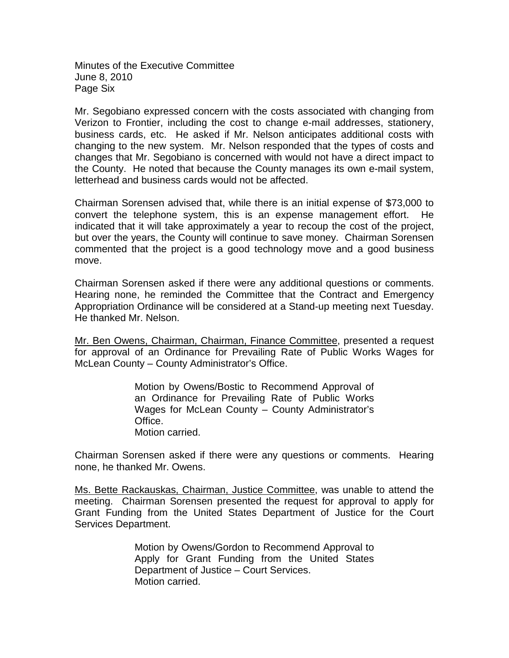Minutes of the Executive Committee June 8, 2010 Page Six

Mr. Segobiano expressed concern with the costs associated with changing from Verizon to Frontier, including the cost to change e-mail addresses, stationery, business cards, etc. He asked if Mr. Nelson anticipates additional costs with changing to the new system. Mr. Nelson responded that the types of costs and changes that Mr. Segobiano is concerned with would not have a direct impact to the County. He noted that because the County manages its own e-mail system, letterhead and business cards would not be affected.

Chairman Sorensen advised that, while there is an initial expense of \$73,000 to convert the telephone system, this is an expense management effort. He indicated that it will take approximately a year to recoup the cost of the project, but over the years, the County will continue to save money. Chairman Sorensen commented that the project is a good technology move and a good business move.

Chairman Sorensen asked if there were any additional questions or comments. Hearing none, he reminded the Committee that the Contract and Emergency Appropriation Ordinance will be considered at a Stand-up meeting next Tuesday. He thanked Mr. Nelson.

Mr. Ben Owens, Chairman, Chairman, Finance Committee, presented a request for approval of an Ordinance for Prevailing Rate of Public Works Wages for McLean County – County Administrator's Office.

> Motion by Owens/Bostic to Recommend Approval of an Ordinance for Prevailing Rate of Public Works Wages for McLean County – County Administrator's Office. Motion carried.

Chairman Sorensen asked if there were any questions or comments. Hearing none, he thanked Mr. Owens.

Ms. Bette Rackauskas, Chairman, Justice Committee, was unable to attend the meeting. Chairman Sorensen presented the request for approval to apply for Grant Funding from the United States Department of Justice for the Court Services Department.

> Motion by Owens/Gordon to Recommend Approval to Apply for Grant Funding from the United States Department of Justice – Court Services. Motion carried.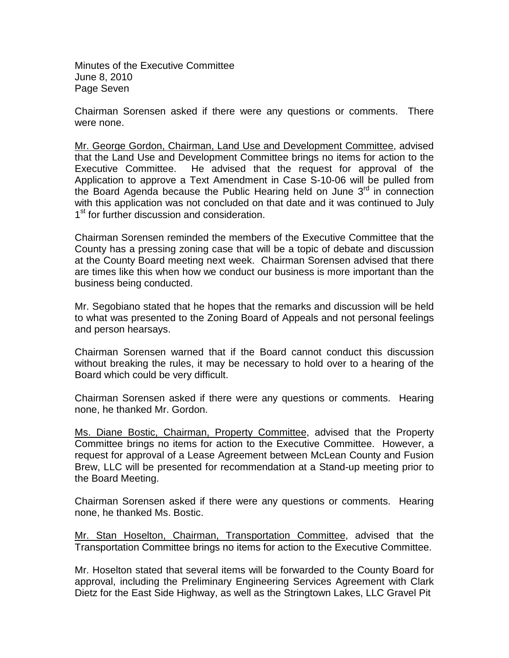Minutes of the Executive Committee June 8, 2010 Page Seven

Chairman Sorensen asked if there were any questions or comments. There were none.

Mr. George Gordon, Chairman, Land Use and Development Committee, advised that the Land Use and Development Committee brings no items for action to the Executive Committee. He advised that the request for approval of the Application to approve a Text Amendment in Case S-10-06 will be pulled from the Board Agenda because the Public Hearing held on June  $3<sup>rd</sup>$  in connection with this application was not concluded on that date and it was continued to July 1<sup>st</sup> for further discussion and consideration.

Chairman Sorensen reminded the members of the Executive Committee that the County has a pressing zoning case that will be a topic of debate and discussion at the County Board meeting next week. Chairman Sorensen advised that there are times like this when how we conduct our business is more important than the business being conducted.

Mr. Segobiano stated that he hopes that the remarks and discussion will be held to what was presented to the Zoning Board of Appeals and not personal feelings and person hearsays.

Chairman Sorensen warned that if the Board cannot conduct this discussion without breaking the rules, it may be necessary to hold over to a hearing of the Board which could be very difficult.

Chairman Sorensen asked if there were any questions or comments. Hearing none, he thanked Mr. Gordon.

Ms. Diane Bostic, Chairman, Property Committee, advised that the Property Committee brings no items for action to the Executive Committee. However, a request for approval of a Lease Agreement between McLean County and Fusion Brew, LLC will be presented for recommendation at a Stand-up meeting prior to the Board Meeting.

Chairman Sorensen asked if there were any questions or comments. Hearing none, he thanked Ms. Bostic.

Mr. Stan Hoselton, Chairman, Transportation Committee, advised that the Transportation Committee brings no items for action to the Executive Committee.

Mr. Hoselton stated that several items will be forwarded to the County Board for approval, including the Preliminary Engineering Services Agreement with Clark Dietz for the East Side Highway, as well as the Stringtown Lakes, LLC Gravel Pit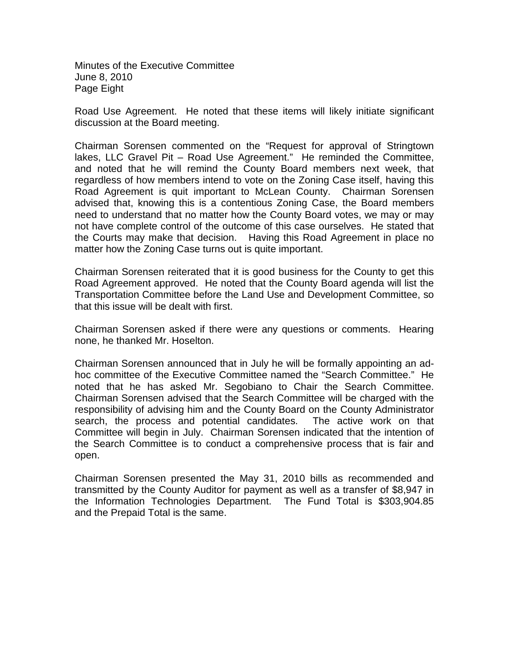Minutes of the Executive Committee June 8, 2010 Page Eight

Road Use Agreement. He noted that these items will likely initiate significant discussion at the Board meeting.

Chairman Sorensen commented on the "Request for approval of Stringtown lakes, LLC Gravel Pit – Road Use Agreement." He reminded the Committee, and noted that he will remind the County Board members next week, that regardless of how members intend to vote on the Zoning Case itself, having this Road Agreement is quit important to McLean County. Chairman Sorensen advised that, knowing this is a contentious Zoning Case, the Board members need to understand that no matter how the County Board votes, we may or may not have complete control of the outcome of this case ourselves. He stated that the Courts may make that decision. Having this Road Agreement in place no matter how the Zoning Case turns out is quite important.

Chairman Sorensen reiterated that it is good business for the County to get this Road Agreement approved. He noted that the County Board agenda will list the Transportation Committee before the Land Use and Development Committee, so that this issue will be dealt with first.

Chairman Sorensen asked if there were any questions or comments. Hearing none, he thanked Mr. Hoselton.

Chairman Sorensen announced that in July he will be formally appointing an adhoc committee of the Executive Committee named the "Search Committee." He noted that he has asked Mr. Segobiano to Chair the Search Committee. Chairman Sorensen advised that the Search Committee will be charged with the responsibility of advising him and the County Board on the County Administrator search, the process and potential candidates. The active work on that Committee will begin in July. Chairman Sorensen indicated that the intention of the Search Committee is to conduct a comprehensive process that is fair and open.

Chairman Sorensen presented the May 31, 2010 bills as recommended and transmitted by the County Auditor for payment as well as a transfer of \$8,947 in the Information Technologies Department. The Fund Total is \$303,904.85 and the Prepaid Total is the same.